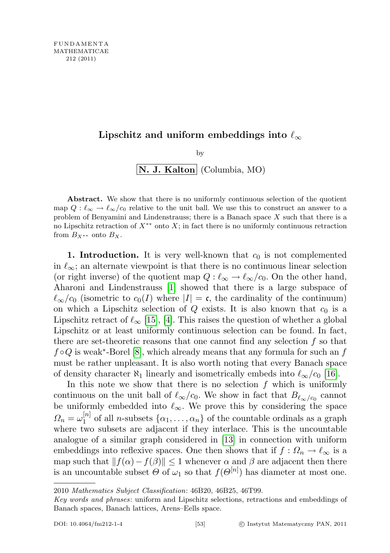## Lipschitz and uniform embeddings into  $\ell_{\infty}$

$$
\begin{array}{c}\n \text{by} \\
\boxed{\textbf{N. J. Kalton}}\n \text{ (Columbia, MO)}\n \end{array}
$$

Abstract. We show that there is no uniformly continuous selection of the quotient map  $Q : \ell_{\infty} \to \ell_{\infty}/c_0$  relative to the unit ball. We use this to construct an answer to a problem of Benyamini and Lindenstrauss; there is a Banach space X such that there is a no Lipschitz retraction of  $X^{**}$  onto X; in fact there is no uniformly continuous retraction from  $B_{X^{**}}$  onto  $B_X$ .

1. Introduction. It is very well-known that  $c_0$  is not complemented in  $\ell_{\infty}$ ; an alternate viewpoint is that there is no continuous linear selection (or right inverse) of the quotient map  $Q : \ell_{\infty} \to \ell_{\infty}/c_0$ . On the other hand, Aharoni and Lindenstrauss [\[1\]](#page-15-0) showed that there is a large subspace of  $\ell_{\infty}/c_0$  (isometric to  $c_0(I)$  where  $|I| = \mathfrak{c}$ , the cardinality of the continuum) on which a Lipschitz selection of  $Q$  exists. It is also known that  $c_0$  is a Lipschitz retract of  $\ell_{\infty}$  [\[15\]](#page-15-1), [\[4\]](#page-15-2). This raises the question of whether a global Lipschitz or at least uniformly continuous selection can be found. In fact, there are set-theoretic reasons that one cannot find any selection  $f$  so that  $f \circ Q$  is weak<sup>\*</sup>-Borel [\[8\]](#page-15-3), which already means that any formula for such an f must be rather unpleasant. It is also worth noting that every Banach space of density character  $\aleph_1$  linearly and isometrically embeds into  $\ell_{\infty}/c_0$  [\[16\]](#page-15-4).

In this note we show that there is no selection  $f$  which is uniformly continuous on the unit ball of  $\ell_{\infty}/c_0$ . We show in fact that  $B_{\ell_{\infty}/c_0}$  cannot be uniformly embedded into  $\ell_{\infty}$ . We prove this by considering the space  $\Omega_n=\omega_1^{[n]}$  $\begin{bmatrix} n_1 \\ 1 \end{bmatrix}$  of all *n*-subsets  $\{\alpha_1, \ldots, \alpha_n\}$  of the countable ordinals as a graph where two subsets are adjacent if they interlace. This is the uncountable analogue of a similar graph considered in [\[13\]](#page-15-5) in connection with uniform embeddings into reflexive spaces. One then shows that if  $f : \Omega_n \to \ell_\infty$  is a map such that  $||f(\alpha)-f(\beta)|| \leq 1$  whenever  $\alpha$  and  $\beta$  are adjacent then there is an uncountable subset  $\Theta$  of  $\omega_1$  so that  $f(\Theta^{[n]})$  has diameter at most one.

<sup>2010</sup> Mathematics Subject Classification: 46B20, 46B25, 46T99.

Key words and phrases: uniform and Lipschitz selections, retractions and embeddings of Banach spaces, Banach lattices, Arens–Eells space.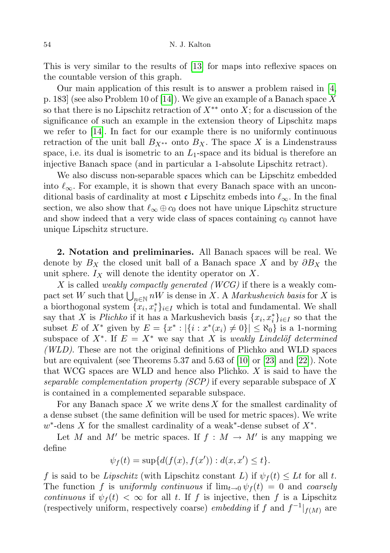This is very similar to the results of [\[13\]](#page-15-5) for maps into reflexive spaces on the countable version of this graph.

Our main application of this result is to answer a problem raised in [\[4,](#page-15-2) p. 183] (see also Problem 10 of [\[14\]](#page-15-6)). We give an example of a Banach space X so that there is no Lipschitz retraction of  $X^{**}$  onto X; for a discussion of the significance of such an example in the extension theory of Lipschitz maps we refer to [\[14\]](#page-15-6). In fact for our example there is no uniformly continuous retraction of the unit ball  $B_{X^{**}}$  onto  $B_X$ . The space X is a Lindenstrauss space, i.e. its dual is isometric to an  $L_1$ -space and its bidual is therefore an injective Banach space (and in particular a 1-absolute Lipschitz retract).

We also discuss non-separable spaces which can be Lipschitz embedded into  $\ell_{\infty}$ . For example, it is shown that every Banach space with an unconditional basis of cardinality at most c Lipschitz embeds into  $\ell_{\infty}$ . In the final section, we also show that  $\ell_{\infty} \oplus c_0$  does not have unique Lipschitz structure and show indeed that a very wide class of spaces containing  $c_0$  cannot have unique Lipschitz structure.

2. Notation and preliminaries. All Banach spaces will be real. We denote by  $B_X$  the closed unit ball of a Banach space X and by  $\partial B_X$  the unit sphere.  $I_X$  will denote the identity operator on X.

X is called *weakly compactly generated (WCG)* if there is a weakly compact set W such that  $\bigcup_{n\in\mathbb{N}} nW$  is dense in X. A *Markushevich basis* for X is a biorthogonal system  $\{x_i, x_i^*\}_{i \in I}$  which is total and fundamental. We shall say that X is Plichko if it has a Markushevich basis  $\{x_i, x_i^*\}_{i \in I}$  so that the subset E of  $X^*$  given by  $E = \{x^* : |\{i : x^*(x_i) \neq 0\}| \leq \aleph_0\}$  is a 1-norming subspace of  $X^*$ . If  $E = X^*$  we say that X is weakly Lindelöf determined  $(WLD)$ . These are not the original definitions of Plichko and WLD spaces but are equivalent (see Theorems 5.37 and 5.63 of  $|10|$  or  $|23|$  and  $|22|$ ). Note that WCG spaces are WLD and hence also Plichko. X is said to have the separable complementation property  $(SCP)$  if every separable subspace of X is contained in a complemented separable subspace.

For any Banach space  $X$  we write dens  $X$  for the smallest cardinality of a dense subset (the same definition will be used for metric spaces). We write  $w^*$ -dens X for the smallest cardinality of a weak<sup>\*</sup>-dense subset of  $X^*$ .

Let M and M' be metric spaces. If  $f : M \to M'$  is any mapping we define

$$
\psi_f(t) = \sup \{ d(f(x), f(x')) : d(x, x') \le t \}.
$$

f is said to be Lipschitz (with Lipschitz constant L) if  $\psi_f(t) \leq Lt$  for all t. The function f is uniformly continuous if  $\lim_{t\to 0} \psi_f(t) = 0$  and coarsely continuous if  $\psi_f(t) < \infty$  for all t. If f is injective, then f is a Lipschitz (respectively uniform, respectively coarse) *embedding* if f and  $f^{-1}|_{f(M)}$  are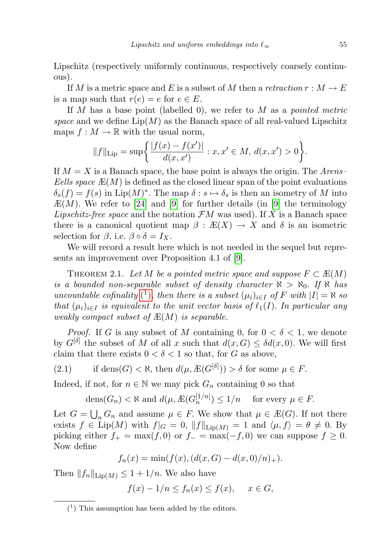Lipschitz (respectively uniformly continuous, respectively coarsely continuous).

If M is a metric space and E is a subset of M then a retraction  $r : M \to E$ is a map such that  $r(e) = e$  for  $e \in E$ .

If M has a base point (labelled 0), we refer to M as a *pointed metric* space and we define  $\text{Lip}(M)$  as the Banach space of all real-valued Lipschitz maps  $f : M \to \mathbb{R}$  with the usual norm,

$$
||f||_{\text{Lip}} = \sup \left\{ \frac{|f(x) - f(x')|}{d(x, x')} : x, x' \in M, d(x, x') > 0 \right\}.
$$

If  $M = X$  is a Banach space, the base point is always the origin. The Arens– Eells space  $E(M)$  is defined as the closed linear span of the point evaluations  $\delta_s(f) = f(s)$  in Lip $(M)^*$ . The map  $\delta : s \mapsto \delta_s$  is then an isometry of M into  $E(M)$ . We refer to [\[24\]](#page-16-2) and [\[9\]](#page-15-8) for further details (in [9] the terminology Lipschitz-free space and the notation  $\mathcal{F}M$  was used). If X is a Banach space there is a canonical quotient map  $\beta : E(X) \to X$  and  $\delta$  is an isometric selection for  $\beta$ , i.e.  $\beta \circ \delta = I_X$ .

We will record a result here which is not needed in the sequel but represents an improvement over Proposition 4.1 of [\[9\]](#page-15-8).

THEOREM 2.1. Let M be a pointed metric space and suppose  $F \subset \mathbb{E}(M)$ is a bounded non-separable subset of density character  $\aleph > \aleph_0$ . If  $\aleph$  has uncountable cofinality [\(](#page-2-0)<sup>1</sup>), then there is a subset  $(\mu_i)_{i\in I}$  of F with  $|I| = \aleph$  so that  $(\mu_i)_{i\in I}$  is equivalent to the unit vector basis of  $\ell_1(I)$ . In particular any weakly compact subset of  $E(M)$  is separable.

*Proof.* If G is any subset of M containing 0, for  $0 < \delta < 1$ , we denote by  $G^{[\delta]}$  the subset of M of all x such that  $d(x, G) \leq \delta d(x, 0)$ . We will first claim that there exists  $0 < \delta < 1$  so that, for G as above,

(2.1) if 
$$
dens(G) < \aleph
$$
, then  $d(\mu, \mathbb{E}(G^{[\delta]})) > \delta$  for some  $\mu \in F$ .

Indeed, if not, for  $n \in \mathbb{N}$  we may pick  $G_n$  containing 0 so that

<span id="page-2-1"></span>
$$
\text{dens}(G_n) < \aleph \text{ and } d(\mu, \mathbb{E}(G_n^{[1/n]}) \le 1/n \quad \text{ for every } \mu \in F.
$$

Let  $G = \bigcup_n G_n$  and assume  $\mu \in F$ . We show that  $\mu \in E(G)$ . If not there exists  $f \in \text{Lip}(M)$  with  $f|_G = 0$ ,  $||f||_{\text{Lip}(M)} = 1$  and  $\langle \mu, f \rangle = \theta \neq 0$ . By picking either  $f_+ = \max(f, 0)$  or  $f_- = \max(-f, 0)$  we can suppose  $f \ge 0$ . Now define

$$
f_n(x) = \min(f(x), (d(x, G) - d(x, 0)/n)_+).
$$

Then  $||f_n||_{\text{Lip}(M)} \leq 1 + 1/n$ . We also have

$$
f(x) - 1/n \le f_n(x) \le f(x), \quad x \in G,
$$

<span id="page-2-0"></span><sup>(</sup> 1 ) This assumption has been added by the editors.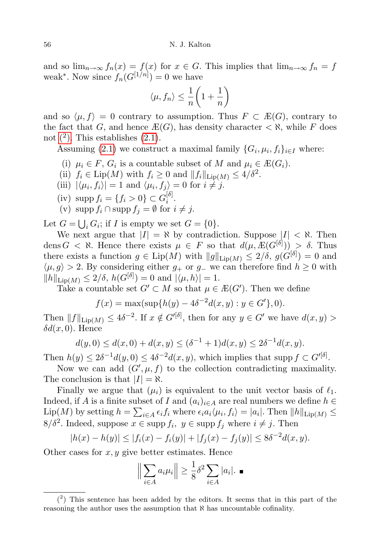and so  $\lim_{n\to\infty} f_n(x) = f(x)$  for  $x \in G$ . This implies that  $\lim_{n\to\infty} f_n = f$ weak<sup>\*</sup>. Now since  $f_n(G^{[1/n]})=0$  we have

$$
\langle \mu, f_n \rangle \le \frac{1}{n} \left( 1 + \frac{1}{n} \right)
$$

and so  $\langle \mu, f \rangle = 0$  contrary to assumption. Thus  $F \subset E(G)$ , contrary to the fact that G, and hence  $\mathbb{E}(G)$ , has density character  $\langle \aleph, \text{while } F \text{ does} \rangle$ not  $(2)$ . This establishes  $(2.1)$ .

Assuming [\(2.1\)](#page-2-1) we construct a maximal family  $\{G_i, \mu_i, f_i\}_{i \in I}$  where:

- (i)  $\mu_i \in F$ ,  $G_i$  is a countable subset of M and  $\mu_i \in E(G_i)$ .
- (ii)  $f_i \in \text{Lip}(M)$  with  $f_i \geq 0$  and  $||f_i||_{\text{Lip}(M)} \leq 4/\delta^2$ .
- (iii)  $|\langle \mu_i, f_i \rangle| = 1$  and  $\langle \mu_i, f_j \rangle = 0$  for  $i \neq j$ .
- (iv) supp  $f_i = \{f_i > 0\} \subset G_i^{[\delta]}$  $\frac{[o]}{i}$ .
- (v) supp  $f_i \cap \text{supp } f_j = \emptyset$  for  $i \neq j$ .

Let  $G = \bigcup_i G_i$ ; if I is empty we set  $G = \{0\}.$ 

We next argue that  $|I| = \aleph$  by contradiction. Suppose  $|I| < \aleph$ . Then dens  $G < \aleph$ . Hence there exists  $\mu \in F$  so that  $d(\mu, E(G^{[\delta]})) > \delta$ . Thus there exists a function  $g \in \text{Lip}(M)$  with  $||g||_{\text{Lip}(M)} \leq 2/\delta$ ,  $g(G^{[\delta]}) = 0$  and  $\langle \mu, g \rangle > 2$ . By considering either  $g_+$  or  $g_-$  we can therefore find  $h \geq 0$  with  $||h||_{\text{Lip}(M)} \leq 2/\delta, h(G^{[\delta]}) = 0 \text{ and } |\langle \mu, h \rangle| = 1.$ 

Take a countable set  $G' \subset M$  so that  $\mu \in E(G')$ . Then we define

$$
f(x) = \max(\sup\{h(y) - 4\delta^{-2}d(x, y) : y \in G'\}, 0).
$$

Then  $||f||_{\text{Lip}(M)} \leq 4\delta^{-2}$ . If  $x \notin G'^{[\delta]}$ , then for any  $y \in G'$  we have  $d(x, y) >$  $\delta d(x,0)$ . Hence

$$
d(y,0) \le d(x,0) + d(x,y) \le (\delta^{-1} + 1)d(x,y) \le 2\delta^{-1}d(x,y).
$$

Then  $h(y) \leq 2\delta^{-1}d(y,0) \leq 4\delta^{-2}d(x,y)$ , which implies that supp  $f \subset G'^{[\delta]}$ .

Now we can add  $(G', \mu, f)$  to the collection contradicting maximality. The conclusion is that  $|I| = \aleph$ .

Finally we argue that  $(\mu_i)$  is equivalent to the unit vector basis of  $\ell_1$ . Indeed, if A is a finite subset of I and  $(a_i)_{i\in A}$  are real numbers we define  $h \in$  $\text{Lip}(M)$  by setting  $h = \sum_{i \in A} \epsilon_i f_i$  where  $\epsilon_i a_i \langle \mu_i, f_i \rangle = |a_i|$ . Then  $||h||_{\text{Lip}(M)} \le$  $8/\delta^2$ . Indeed, suppose  $x \in \text{supp } f_i, y \in \text{supp } f_j$  where  $i \neq j$ . Then

$$
|h(x) - h(y)| \le |f_i(x) - f_i(y)| + |f_j(x) - f_j(y)| \le 8\delta^{-2}d(x, y).
$$

Other cases for  $x, y$  give better estimates. Hence

$$
\left\| \sum_{i \in A} a_i \mu_i \right\| \ge \frac{1}{8} \delta^2 \sum_{i \in A} |a_i|. \blacksquare
$$

<span id="page-3-0"></span> $(2)$  This sentence has been added by the editors. It seems that in this part of the reasoning the author uses the assumption that  $\aleph$  has uncountable cofinality.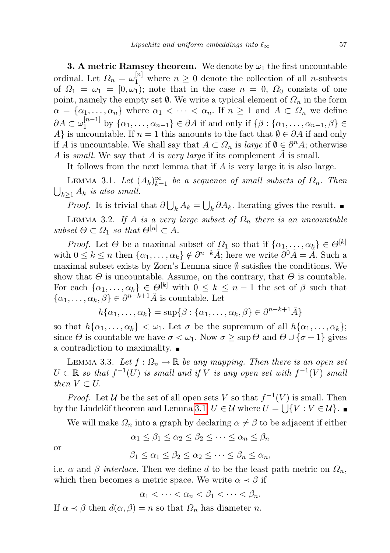**3. A metric Ramsey theorem.** We denote by  $\omega_1$  the first uncountable ordinal. Let  $\Omega_n = \omega_1^{[n]}$  where  $n \geq 0$  denote the collection of all *n*-subsets of  $\Omega_1 = \omega_1 = [0, \omega_1]$ ; note that in the case  $n = 0$ ,  $\Omega_0$  consists of one point, namely the empty set  $\emptyset$ . We write a typical element of  $\Omega_n$  in the form  $\alpha = {\alpha_1, \ldots, \alpha_n}$  where  $\alpha_1 < \cdots < \alpha_n$ . If  $n \geq 1$  and  $A \subset \Omega_n$  we define  $\partial A\subset \omega_1^{[n-1]}$  $\{a_1, a_1, \ldots, a_{n-1}\} \in \partial A$  if and only if  $\{\beta : \{\alpha_1, \ldots, \alpha_{n-1}, \beta\} \in$ A} is uncountable. If  $n = 1$  this amounts to the fact that  $\emptyset \in \partial A$  if and only if A is uncountable. We shall say that  $A \subset \Omega_n$  is *large* if  $\emptyset \in \partial^n A$ ; otherwise A is small. We say that A is very large if its complement A is small.

It follows from the next lemma that if A is very large it is also large.

<span id="page-4-0"></span>LEMMA 3.1. Let  $(A_k)_{k=1}^{\infty}$  be a sequence of small subsets of  $\Omega_n$ . Then  $\bigcup_{k\geq 1} A_k$  is also small.

*Proof.* It is trivial that  $\partial \bigcup_k A_k = \bigcup_k \partial A_k$ . Iterating gives the result.

<span id="page-4-3"></span>LEMMA 3.2. If A is a very large subset of  $\Omega_n$  there is an uncountable subset  $\Theta \subset \Omega_1$  so that  $\Theta^{[n]} \subset A$ .

*Proof.* Let  $\Theta$  be a maximal subset of  $\Omega_1$  so that if  $\{\alpha_1, \dots, \alpha_k\} \in \Theta^{[k]}$ with  $0 \leq k \leq n$  then  $\{\alpha_1, \ldots, \alpha_k\} \notin \partial^{n-k} \tilde{A}$ ; here we write  $\partial^0 \tilde{A} = \tilde{A}$ . Such a maximal subset exists by Zorn's Lemma since  $\emptyset$  satisfies the conditions. We show that  $\Theta$  is uncountable. Assume, on the contrary, that  $\Theta$  is countable. For each  $\{\alpha_1, \ldots, \alpha_k\} \in \Theta^{[k]}$  with  $0 \leq k \leq n-1$  the set of  $\beta$  such that  $\{\alpha_1, \ldots, \alpha_k, \beta\} \in \partial^{n-k+1} \tilde{A}$  is countable. Let

$$
h\{\alpha_1,\ldots,\alpha_k\} = \sup\{\beta : \{\alpha_1,\ldots,\alpha_k,\beta\} \in \partial^{n-k+1}\tilde{A}\}\
$$

so that  $h\{\alpha_1,\ldots,\alpha_k\} < \omega_1$ . Let  $\sigma$  be the supremum of all  $h\{\alpha_1,\ldots,\alpha_k\}$ ; since  $\Theta$  is countable we have  $\sigma < \omega_1$ . Now  $\sigma \geq \sup \Theta$  and  $\Theta \cup {\sigma+1}$  gives a contradiction to maximality.

<span id="page-4-1"></span>LEMMA 3.3. Let  $f: \Omega_n \to \mathbb{R}$  be any mapping. Then there is an open set  $U \subset \mathbb{R}$  so that  $f^{-1}(U)$  is small and if V is any open set with  $f^{-1}(V)$  small then  $V \subset U$ .

*Proof.* Let U be the set of all open sets V so that  $f^{-1}(V)$  is small. Then by the Lindelöf theorem and Lemma [3.1,](#page-4-0)  $U \in \mathcal{U}$  where  $U = \bigcup \{V : V \in \mathcal{U}\}.$ 

We will make  $\Omega_n$  into a graph by declaring  $\alpha \neq \beta$  to be adjacent if either

$$
\alpha_1 \le \beta_1 \le \alpha_2 \le \beta_2 \le \dots \le \alpha_n \le \beta_n
$$

or

$$
\beta_1 \leq \alpha_1 \leq \beta_2 \leq \alpha_2 \leq \cdots \leq \beta_n \leq \alpha_n,
$$

i.e.  $\alpha$  and  $\beta$  interlace. Then we define d to be the least path metric on  $\Omega_n$ , which then becomes a metric space. We write  $\alpha \prec \beta$  if

$$
\alpha_1 < \cdots < \alpha_n < \beta_1 < \cdots < \beta_n.
$$

<span id="page-4-2"></span>If  $\alpha \prec \beta$  then  $d(\alpha, \beta) = n$  so that  $\Omega_n$  has diameter n.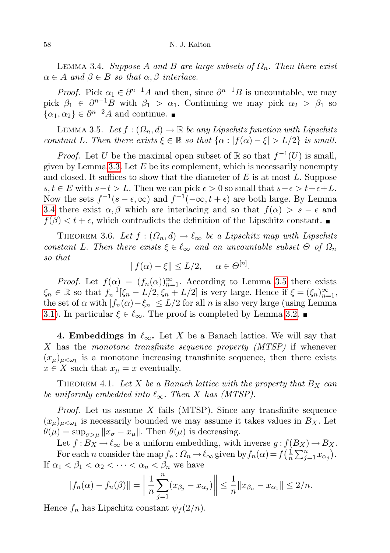LEMMA 3.4. Suppose A and B are large subsets of  $\Omega_n$ . Then there exist  $\alpha \in A$  and  $\beta \in B$  so that  $\alpha, \beta$  interlace.

*Proof.* Pick  $\alpha_1 \in \partial^{n-1}A$  and then, since  $\partial^{n-1}B$  is uncountable, we may pick  $\beta_1 \in \partial^{n-1}B$  with  $\beta_1 > \alpha_1$ . Continuing we may pick  $\alpha_2 > \beta_1$  so  $\{\alpha_1, \alpha_2\} \in \partial^{n-2}A$  and continue.

<span id="page-5-0"></span>LEMMA 3.5. Let  $f: (\Omega_n, d) \to \mathbb{R}$  be any Lipschitz function with Lipschitz constant L. Then there exists  $\xi \in \mathbb{R}$  so that  $\{\alpha : |f(\alpha) - \xi| > L/2\}$  is small.

*Proof.* Let U be the maximal open subset of  $\mathbb{R}$  so that  $f^{-1}(U)$  is small, given by Lemma [3.3.](#page-4-1) Let  $E$  be its complement, which is necessarily nonempty and closed. It suffices to show that the diameter of  $E$  is at most  $L$ . Suppose s,  $t \in E$  with  $s-t > L$ . Then we can pick  $\epsilon > 0$  so small that  $s-\epsilon > t+\epsilon+L$ . Now the sets  $f^{-1}(s-\epsilon,\infty)$  and  $f^{-1}(-\infty,t+\epsilon)$  are both large. By Lemma [3.4](#page-4-2) there exist  $\alpha, \beta$  which are interlacing and so that  $f(\alpha) > s - \epsilon$  and  $f(\beta) < t + \epsilon$ , which contradicts the definition of the Lipschitz constant.

<span id="page-5-1"></span>THEOREM 3.6. Let  $f : (\Omega_n, d) \to \ell_\infty$  be a Lipschitz map with Lipschitz constant L. Then there exists  $\xi \in \ell_{\infty}$  and an uncountable subset  $\Theta$  of  $\Omega_n$ so that

$$
||f(\alpha) - \xi|| \le L/2, \quad \alpha \in \Theta^{[n]}.
$$

*Proof.* Let  $f(\alpha) = (f_n(\alpha))_{n=1}^{\infty}$ . According to Lemma [3.5](#page-5-0) there exists  $\xi_n \in \mathbb{R}$  so that  $f_n^{-1}[\xi_n - L/2, \xi_n + L/2]$  is very large. Hence if  $\xi = (\xi_n)_{n=1}^{\infty}$ , the set of  $\alpha$  with  $|f_n(\alpha)-\xi_n| \leq L/2$  for all n is also very large (using Lemma [3.1\)](#page-4-0). In particular  $\xi \in \ell_{\infty}$ . The proof is completed by Lemma [3.2.](#page-4-3)

4. Embeddings in  $\ell_{\infty}$ . Let X be a Banach lattice. We will say that X has the monotone transfinite sequence property (MTSP) if whenever  $(x_{\mu})_{\mu < \omega_1}$  is a monotone increasing transfinite sequence, then there exists  $x \in X$  such that  $x_{\mu} = x$  eventually.

<span id="page-5-2"></span>THEOREM 4.1. Let X be a Banach lattice with the property that  $B_X$  can be uniformly embedded into  $\ell_{\infty}$ . Then X has (MTSP).

*Proof.* Let us assume  $X$  fails (MTSP). Since any transfinite sequence  $(x_{\mu})_{\mu<\omega_1}$  is necessarily bounded we may assume it takes values in  $B_X$ . Let  $\theta(\mu) = \sup_{\sigma > \mu} ||x_{\sigma} - x_{\mu}||$ . Then  $\theta(\mu)$  is decreasing.

Let  $f : B_X \to \ell_\infty$  be a uniform embedding, with inverse  $g : f(B_X) \to B_X$ . For each n consider the map  $f_n: \Omega_n \to \ell_\infty$  given by  $f_n(\alpha) = f\left(\frac{1}{n}\right)$  $\frac{1}{n} \sum_{j=1}^n x_{\alpha_j}$ . If  $\alpha_1 < \beta_1 < \alpha_2 < \cdots < \alpha_n < \beta_n$  we have

$$
||f_n(\alpha) - f_n(\beta)|| = \left\|\frac{1}{n}\sum_{j=1}^n (x_{\beta_j} - x_{\alpha_j})\right\| \le \frac{1}{n}||x_{\beta_n} - x_{\alpha_1}|| \le 2/n.
$$

Hence  $f_n$  has Lipschitz constant  $\psi_f(2/n)$ .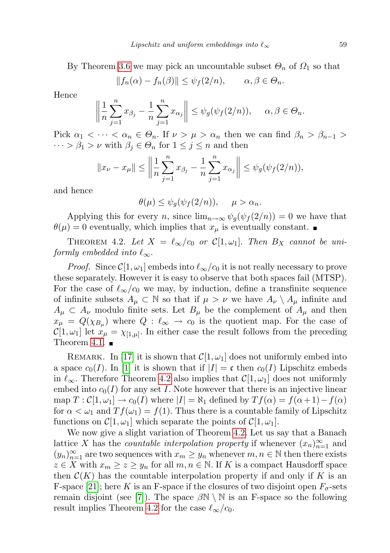By Theorem [3.6](#page-5-1) we may pick an uncountable subset  $\Theta_n$  of  $\Omega_1$  so that

$$
||f_n(\alpha) - f_n(\beta)|| \le \psi_f(2/n), \qquad \alpha, \beta \in \Theta_n.
$$

Hence

$$
\left\|\frac{1}{n}\sum_{j=1}^n x_{\beta_j} - \frac{1}{n}\sum_{j=1}^n x_{\alpha_j}\right\| \leq \psi_g(\psi_f(2/n)), \quad \alpha, \beta \in \Theta_n.
$$

Pick  $\alpha_1 < \cdots < \alpha_n \in \Theta_n$ . If  $\nu > \mu > \alpha_n$  then we can find  $\beta_n > \beta_{n-1} >$  $\cdots > \beta_1 > \nu$  with  $\beta_j \in \Theta_n$  for  $1 \leq j \leq n$  and then

$$
||x_{\nu} - x_{\mu}|| \le \left\| \frac{1}{n} \sum_{j=1}^{n} x_{\beta_j} - \frac{1}{n} \sum_{j=1}^{n} x_{\alpha_j} \right\| \le \psi_g(\psi_f(2/n)),
$$

and hence

$$
\theta(\mu) \leq \psi_g(\psi_f(2/n)), \quad \mu > \alpha_n.
$$

Applying this for every n, since  $\lim_{n\to\infty}\psi_q(\psi_f(2/n))=0$  we have that  $\theta(\mu) = 0$  eventually, which implies that  $x_{\mu}$  is eventually constant.

<span id="page-6-0"></span>THEOREM 4.2. Let  $X = \ell_{\infty}/c_0$  or  $\mathcal{C}[1, \omega_1]$ . Then  $B_X$  cannot be uniformly embedded into  $\ell_{\infty}$ .

*Proof.* Since  $\mathcal{C}[1,\omega_1]$  embeds into  $\ell_{\infty}/c_0$  it is not really necessary to prove these separately. However it is easy to observe that both spaces fail (MTSP). For the case of  $\ell_{\infty}/c_0$  we may, by induction, define a transfinite sequence of infinite subsets  $A_\mu \subset \mathbb{N}$  so that if  $\mu > \nu$  we have  $A_\nu \setminus A_\mu$  infinite and  $A_\mu \subset A_\nu$  modulo finite sets. Let  $B_\mu$  be the complement of  $A_\mu$  and then  $x_{\mu} = Q(\chi_{B_{\mu}})$  where  $Q : \ell_{\infty} \to c_0$  is the quotient map. For the case of  $\mathcal{C}[1,\omega_1]$  let  $x_\mu = \chi_{[1,\mu]}$ . In either case the result follows from the preceding Theorem [4.1.](#page-5-2)  $\blacksquare$ 

REMARK. In [\[17\]](#page-15-9) it is shown that  $\mathcal{C}[1,\omega_1]$  does not uniformly embed into a space  $c_0(I)$ . In [\[1\]](#page-15-0) it is shown that if  $|I| = \mathfrak{c}$  then  $c_0(I)$  Lipschitz embeds in  $\ell_{\infty}$ . Therefore Theorem [4.2](#page-6-0) also implies that  $\mathcal{C}[1, \omega_1]$  does not uniformly embed into  $c_0(I)$  for any set I. Note however that there is an injective linear map  $T : \mathcal{C}[1,\omega_1] \to c_0(I)$  where  $|I| = \aleph_1$  defined by  $Tf(\alpha) = f(\alpha+1)-f(\alpha)$ for  $\alpha < \omega_1$  and  $Tf(\omega_1) = f(1)$ . Thus there is a countable family of Lipschitz functions on  $\mathcal{C}[1,\omega_1]$  which separate the points of  $\mathcal{C}[1,\omega_1]$ .

We now give a slight variation of Theorem [4.2.](#page-6-0) Let us say that a Banach lattice X has the *countable interpolation property* if whenever  $(x_n)_{n=1}^{\infty}$  and  $(y_n)_{n=1}^{\infty}$  are two sequences with  $x_m \geq y_n$  whenever  $m, n \in \mathbb{N}$  then there exists  $z \in X$  with  $x_m \geq z \geq y_n$  for all  $m, n \in \mathbb{N}$ . If K is a compact Hausdorff space then  $\mathcal{C}(K)$  has the countable interpolation property if and only if K is an F-space [\[21\]](#page-16-3); here K is an F-space if the closures of two disjoint open  $F_{\sigma}$ -sets remain disjoint (see [\[7\]](#page-15-10)). The space  $\beta \mathbb{N} \setminus \mathbb{N}$  is an F-space so the following result implies Theorem [4.2](#page-6-0) for the case  $\ell_{\infty}/c_0$ .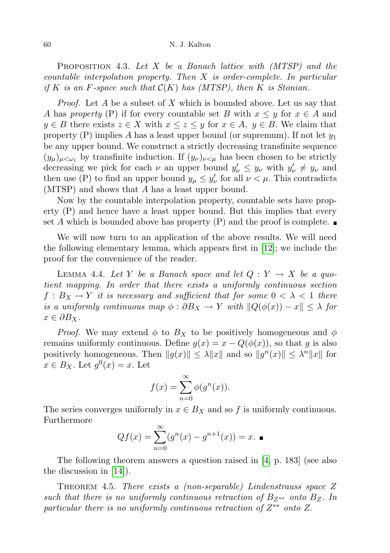**PROPOSITION** 4.3. Let  $X$  be a Banach lattice with  $(MTSP)$  and the countable interpolation property. Then X is order-complete. In particular if K is an F-space such that  $\mathcal{C}(K)$  has (MTSP), then K is Stonian.

*Proof.* Let A be a subset of X which is bounded above. Let us say that A has property (P) if for every countable set B with  $x \leq y$  for  $x \in A$  and  $y \in B$  there exists  $z \in X$  with  $x \leq z \leq y$  for  $x \in A$ ,  $y \in B$ . We claim that property (P) implies A has a least upper bound (or supremum). If not let  $y_1$ be any upper bound. We construct a strictly decreasing transfinite sequence  $(y_\mu)_{\mu<\omega_1}$  by transfinite induction. If  $(y_\nu)_{\nu<\mu}$  has been chosen to be strictly decreasing we pick for each  $\nu$  an upper bound  $y'_{\nu} \leq y_{\nu}$  with  $y'_{\nu} \neq y_{\nu}$  and then use (P) to find an upper bound  $y_{\mu} \leq y_{\nu}'$  for all  $\nu < \mu$ . This contradicts (MTSP) and shows that A has a least upper bound.

Now by the countable interpolation property, countable sets have property (P) and hence have a least upper bound. But this implies that every set A which is bounded above has property (P) and the proof is complete.

We will now turn to an application of the above results. We will need the following elementary lemma, which appears first in [\[12\]](#page-15-11); we include the proof for the convenience of the reader.

<span id="page-7-0"></span>LEMMA 4.4. Let Y be a Banach space and let  $Q: Y \to X$  be a quotient mapping. In order that there exists a uniformly continuous section  $f : B_X \to Y$  it is necessary and sufficient that for some  $0 < \lambda < 1$  there is a uniformly continuous map  $\phi : \partial B_X \to Y$  with  $||Q(\phi(x)) - x|| \leq \lambda$  for  $x \in \partial B_X$ .

*Proof.* We may extend  $\phi$  to  $B_X$  to be positively homogeneous and  $\phi$ remains uniformly continuous. Define  $g(x) = x - Q(\phi(x))$ , so that g is also positively homogeneous. Then  $||g(x)|| \leq \lambda ||x||$  and so  $||g^{n}(x)|| \leq \lambda^{n} ||x||$  for  $x \in B_X$ . Let  $g^0(x) = x$ . Let

$$
f(x) = \sum_{n=0}^{\infty} \phi(g^n(x)).
$$

The series converges uniformly in  $x \in B_X$  and so f is uniformly continuous. Furthermore

$$
Qf(x) = \sum_{n=0}^{\infty} (g^n(x) - g^{n+1}(x)) = x. \quad \blacksquare
$$

The following theorem answers a question raised in [\[4,](#page-15-2) p. 183] (see also the discussion in [\[14\]](#page-15-6)).

<span id="page-7-1"></span>THEOREM 4.5. There exists a (non-separable) Lindenstrauss space  $Z$ such that there is no uniformly continuous retraction of  $B_{Z^{**}}$  onto  $B_Z$ . In particular there is no uniformly continuous retraction of  $Z^{**}$  onto Z.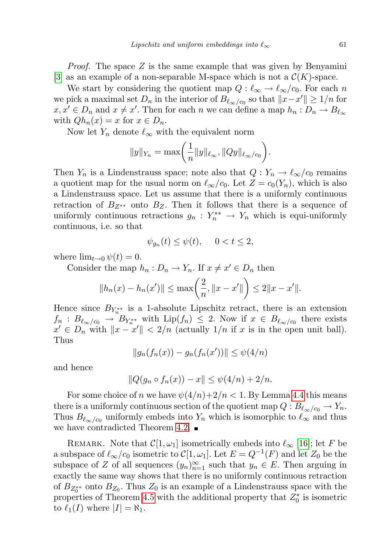*Proof.* The space  $Z$  is the same example that was given by Benyamini [\[3\]](#page-15-12) as an example of a non-separable M-space which is not a  $\mathcal{C}(K)$ -space.

We start by considering the quotient map  $Q : \ell_{\infty} \to \ell_{\infty}/c_0$ . For each n we pick a maximal set  $D_n$  in the interior of  $B_{\ell_{\infty}/c_0}$  so that  $||x-x'|| \geq 1/n$  for  $x, x' \in D_n$  and  $x \neq x'$ . Then for each n we can define a map  $h_n: D_n \to B_{\ell_\infty}$ with  $Qh_n(x) = x$  for  $x \in D_n$ .

Now let  $Y_n$  denote  $\ell_{\infty}$  with the equivalent norm

$$
||y||_{Y_n} = \max\left(\frac{1}{n}||y||_{\ell_\infty}, ||Qy||_{\ell_\infty/c_0}\right).
$$

Then  $Y_n$  is a Lindenstrauss space; note also that  $Q: Y_n \to \ell_{\infty}/c_0$  remains a quotient map for the usual norm on  $\ell_{\infty}/c_0$ . Let  $Z = c_0(Y_n)$ , which is also a Lindenstrauss space. Let us assume that there is a uniformly continuous retraction of  $B_{Z^{**}}$  onto  $B_Z$ . Then it follows that there is a sequence of uniformly continuous retractions  $g_n: Y_n^{**} \to Y_n$  which is equi-uniformly continuous, i.e. so that

$$
\psi_{g_n}(t) \le \psi(t), \quad 0 < t \le 2,
$$

where  $\lim_{t\to 0} \psi(t) = 0$ .

Consider the map  $h_n: D_n \to Y_n$ . If  $x \neq x' \in D_n$  then

$$
||h_n(x) - h_n(x')|| \le \max\left(\frac{2}{n}, ||x - x'||\right) \le 2||x - x'||.
$$

Hence since  $B_{Y_n^{**}}$  is a 1-absolute Lipschitz retract, there is an extension  $f_n: B_{\ell_\infty/c_0} \to B_{Y_n^{**}}$  with  $\text{Lip}(f_n) \leq 2$ . Now if  $x \in B_{\ell_\infty/c_0}$  there exists  $x' \in D_n$  with  $||x - x'|| < 2/n$  (actually  $1/n$  if x is in the open unit ball). Thus

$$
||g_n(f_n(x)) - g_n(f_n(x'))|| \leq \psi(4/n)
$$

and hence

$$
||Q(g_n \circ f_n(x)) - x|| \le \psi(4/n) + 2/n.
$$

For some choice of n we have  $\psi(4/n)+2/n < 1$ . By Lemma [4.4](#page-7-0) this means there is a uniformly continuous section of the quotient map  $Q: B_{\ell_{\infty}/c_0} \to Y_n$ . Thus  $B_{\ell_{\infty}/c_0}$  uniformly embeds into  $Y_n$  which is isomorphic to  $\ell_{\infty}$  and thus we have contradicted Theorem [4.2.](#page-6-0)

REMARK. Note that  $\mathcal{C}[1, \omega_1]$  isometrically embeds into  $\ell_{\infty}$  [\[16\]](#page-15-4); let F be a subspace of  $\ell_{\infty}/c_0$  isometric to  $\mathcal{C}[1,\omega_1]$ . Let  $E = Q^{-1}(F)$  and let  $Z_0$  be the subspace of Z of all sequences  $(y_n)_{n=1}^{\infty}$  such that  $y_n \in E$ . Then arguing in exactly the same way shows that there is no uniformly continuous retraction of  $B_{Z_0^{**}}$  onto  $B_{Z_0}$ . Thus  $Z_0$  is an example of a Lindenstrauss space with the properties of Theorem [4.5](#page-7-1) with the additional property that  $Z_0^*$  is isometric to  $\ell_1(I)$  where  $|I| = \aleph_1$ .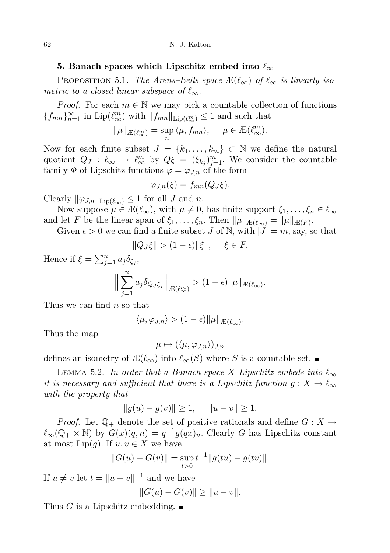## 5. Banach spaces which Lipschitz embed into  $\ell_{\infty}$

<span id="page-9-1"></span>PROPOSITION 5.1. The Arens–Eells space  $\mathbb{E}(\ell_{\infty})$  of  $\ell_{\infty}$  is linearly isometric to a closed linear subspace of  $\ell_{\infty}$ .

*Proof.* For each  $m \in \mathbb{N}$  we may pick a countable collection of functions  ${f_{mn}}_{n=1}^{\infty}$  in  $\text{Lip}(\ell_{\infty}^m)$  with  $||f_{mn}||_{\text{Lip}(\ell_{\infty}^m)} \leq 1$  and such that

$$
\|\mu\|_{\mathcal{L}(\ell_\infty^m)} = \sup_n \langle \mu, f_{mn} \rangle, \quad \mu \in \mathcal{L}(\ell_\infty^m).
$$

Now for each finite subset  $J = \{k_1, \ldots, k_m\} \subset \mathbb{N}$  we define the natural quotient  $Q_J : \ell_{\infty} \to \ell_{\infty}^m$  by  $Q\xi = (\xi_{kj})_{j=1}^m$ . We consider the countable family  $\Phi$  of Lipschitz functions  $\varphi = \varphi_{J,n}$  of the form

$$
\varphi_{J,n}(\xi) = f_{mn}(Q_J\xi).
$$

Clearly  $\|\varphi_{J,n}\|_{\text{Lip}(\ell_\infty)} \leq 1$  for all J and n.

Now suppose  $\mu \in \mathbb{E}(\ell_{\infty})$ , with  $\mu \neq 0$ , has finite support  $\xi_1, \ldots, \xi_n \in \ell_{\infty}$ and let F be the linear span of  $\xi_1, \ldots, \xi_n$ . Then  $\|\mu\|_{\mathcal{E}(\ell_\infty)} = \|\mu\|_{\mathcal{E}(F)}$ .

Given  $\epsilon > 0$  we can find a finite subset J of N, with  $|J| = m$ , say, so that

$$
||Q_J\xi|| > (1 - \epsilon) ||\xi||, \quad \xi \in F.
$$

Hence if  $\xi = \sum_{j=1}^n a_j \delta_{\xi_j}$ ,

$$
\Big\|\sum_{j=1}^n a_j \delta_{Q_J \xi_j}\Big\|_{\mathcal{L}(\ell_\infty^m)} > (1-\epsilon)\|\mu\|_{\mathcal{L}(\ell_\infty)}.
$$

Thus we can find  $n$  so that

$$
\langle \mu, \varphi_{J,n} \rangle > (1 - \epsilon) \|\mu\|_{\mathcal{L}(\ell_\infty)}.
$$

Thus the map

$$
\mu \mapsto (\langle \mu, \varphi_{J,n} \rangle)_{J,n}
$$

defines an isometry of  $\mathbb{E}(\ell_{\infty})$  into  $\ell_{\infty}(S)$  where S is a countable set.

<span id="page-9-0"></span>LEMMA 5.2. In order that a Banach space X Lipschitz embeds into  $\ell_{\infty}$ it is necessary and sufficient that there is a Lipschitz function  $g: X \to \ell_{\infty}$ with the property that

$$
||g(u) - g(v)|| \ge 1, \quad ||u - v|| \ge 1.
$$

*Proof.* Let  $\mathbb{Q}_+$  denote the set of positive rationals and define  $G: X \to$  $\ell_{\infty}(\mathbb{Q}_+ \times \mathbb{N})$  by  $G(x)(q, n) = q^{-1}g(qx)_n$ . Clearly G has Lipschitz constant at most  $\text{Lip}(q)$ . If  $u, v \in X$  we have

$$
||G(u) - G(v)|| = \sup_{t>0} t^{-1} ||g(tu) - g(tv)||.
$$

If  $u \neq v$  let  $t = ||u - v||^{-1}$  and we have

$$
||G(u) - G(v)|| \ge ||u - v||.
$$

Thus G is a Lipschitz embedding.  $\blacksquare$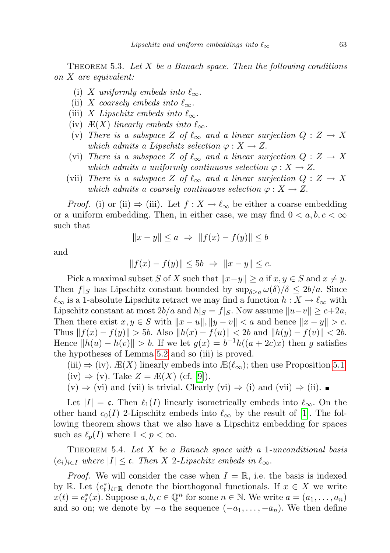THEOREM 5.3. Let  $X$  be a Banach space. Then the following conditions on X are equivalent:

- (i) X uniformly embeds into  $\ell_{\infty}$ .
- (ii) X coarsely embeds into  $\ell_{\infty}$ .
- (iii) X Lipschitz embeds into  $\ell_{\infty}$ .
- (iv)  $E(X)$  linearly embeds into  $\ell_{\infty}$ .
- (v) There is a subspace Z of  $\ell_{\infty}$  and a linear surjection  $Q : Z \to X$ which admits a Lipschitz selection  $\varphi: X \to Z$ .
- (vi) There is a subspace Z of  $\ell_{\infty}$  and a linear surjection  $Q : Z \to X$ which admits a uniformly continuous selection  $\varphi: X \to Z$ .
- (vii) There is a subspace Z of  $\ell_{\infty}$  and a linear surjection  $Q : Z \to X$ which admits a coarsely continuous selection  $\varphi: X \to Z$ .

*Proof.* (i) or (ii)  $\Rightarrow$  (iii). Let  $f : X \to \ell_{\infty}$  be either a coarse embedding or a uniform embedding. Then, in either case, we may find  $0 < a, b, c < \infty$ such that

$$
||x - y|| \le a \implies ||f(x) - f(y)|| \le b
$$

and

$$
||f(x) - f(y)|| \le 5b \Rightarrow ||x - y|| \le c.
$$

Pick a maximal subset S of X such that  $||x-y|| \ge a$  if  $x, y \in S$  and  $x \neq y$ . Then  $f|_{S}$  has Lipschitz constant bounded by  $\sup_{\delta> a} \omega(\delta)/\delta \leq 2b/a$ . Since  $\ell_{\infty}$  is a 1-absolute Lipschitz retract we may find a function  $h : X \to \ell_{\infty}$  with Lipschitz constant at most  $2b/a$  and  $h|_S = f|_S$ . Now assume  $||u-v|| \geq c+2a$ , Then there exist  $x, y \in S$  with  $||x - u||, ||y - v|| < a$  and hence  $||x - y|| > c$ . Thus  $|| f(x) - f(y)|| > 5b$ . Also  $||h(x) - f(u)|| < 2b$  and  $||h(y) - f(v)|| < 2b$ . Hence  $||h(u) - h(v)|| > b$ . If we let  $g(x) = b^{-1}h((a + 2c)x)$  then g satisfies the hypotheses of Lemma [5.2](#page-9-0) and so (iii) is proved.

(iii)  $\Rightarrow$  (iv).  $E(X)$  linearly embeds into  $E(\ell_{\infty})$ ; then use Proposition [5.1.](#page-9-1) (iv)  $\Rightarrow$  (v). Take  $Z = \mathbb{E}(X)$  (cf. [\[9\]](#page-15-8)).

 $(v) \Rightarrow (vi)$  and (vii) is trivial. Clearly  $(vi) \Rightarrow (i)$  and  $(vii) \Rightarrow (ii)$ .

Let  $|I| = \mathfrak{c}$ . Then  $\ell_1(I)$  linearly isometrically embeds into  $\ell_{\infty}$ . On the other hand  $c_0(I)$  2-Lipschitz embeds into  $\ell_{\infty}$  by the result of [\[1\]](#page-15-0). The following theorem shows that we also have a Lipschitz embedding for spaces such as  $\ell_p(I)$  where  $1 < p < \infty$ .

<span id="page-10-0"></span>THEOREM 5.4. Let  $X$  be a Banach space with a 1-unconditional basis  $(e_i)_{i\in I}$  where  $|I| \leq \mathfrak{c}$ . Then X 2-Lipschitz embeds in  $\ell_{\infty}$ .

*Proof.* We will consider the case when  $I = \mathbb{R}$ , i.e. the basis is indexed by R. Let  $(e_t^*)_{t\in\mathbb{R}}$  denote the biorthogonal functionals. If  $x \in X$  we write  $x(t) = e_t^*(x)$ . Suppose  $a, b, c \in \mathbb{Q}^n$  for some  $n \in \mathbb{N}$ . We write  $a = (a_1, \ldots, a_n)$ and so on; we denote by  $-a$  the sequence  $(-a_1, \ldots, -a_n)$ . We then define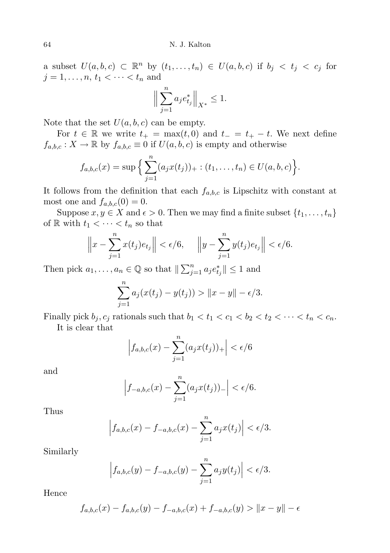a subset  $U(a, b, c) \subset \mathbb{R}^n$  by  $(t_1, \ldots, t_n) \in U(a, b, c)$  if  $b_j < t_j < c_j$  for  $j = 1, ..., n, t_1 < \cdots < t_n$  and

$$
\Big\|\sum_{j=1}^n a_j e_{t_j}^*\Big\|_{X^*} \le 1.
$$

Note that the set  $U(a, b, c)$  can be empty.

For  $t \in \mathbb{R}$  we write  $t_{+} = \max(t, 0)$  and  $t_{-} = t_{+} - t$ . We next define  $f_{a,b,c}: X \to \mathbb{R}$  by  $f_{a,b,c} \equiv 0$  if  $U(a, b, c)$  is empty and otherwise

$$
f_{a,b,c}(x) = \sup \Big\{ \sum_{j=1}^n (a_j x(t_j))_+ : (t_1, \ldots, t_n) \in U(a,b,c) \Big\}.
$$

It follows from the definition that each  $f_{a,b,c}$  is Lipschitz with constant at most one and  $f_{a,b,c}(0) = 0$ .

Suppose  $x, y \in X$  and  $\epsilon > 0$ . Then we may find a finite subset  $\{t_1, \ldots, t_n\}$ of R with  $t_1 < \cdots < t_n$  so that

$$
\left\|x - \sum_{j=1}^{n} x(t_j) e_{t_j}\right\| < \epsilon/6, \quad \left\|y - \sum_{j=1}^{n} y(t_j) e_{t_j}\right\| < \epsilon/6.
$$

Then pick  $a_1, \ldots, a_n \in \mathbb{Q}$  so that  $\|\sum_{j=1}^n a_j e_{t_j}^*\| \leq 1$  and

$$
\sum_{j=1}^{n} a_j (x(t_j) - y(t_j)) > ||x - y|| - \epsilon/3.
$$

Finally pick  $b_j, c_j$  rationals such that  $b_1 < t_1 < c_1 < b_2 < t_2 < \cdots < t_n < c_n$ . It is clear that

$$
\left|f_{a,b,c}(x) - \sum_{j=1}^{n} (a_j x(t_j))_+\right| < \epsilon/6
$$

and

$$
\left|f_{-a,b,c}(x) - \sum_{j=1}^{n} (a_j x(t_j))_{-}\right| < \epsilon/6.
$$

Thus

$$
\left|f_{a,b,c}(x) - f_{-a,b,c}(x) - \sum_{j=1}^{n} a_j x(t_j)\right| < \epsilon/3.
$$

Similarly

$$
\left| f_{a,b,c}(y) - f_{-a,b,c}(y) - \sum_{j=1}^{n} a_j y(t_j) \right| < \epsilon/3.
$$

Hence

$$
f_{a,b,c}(x) - f_{a,b,c}(y) - f_{-a,b,c}(x) + f_{-a,b,c}(y) > ||x - y|| - \epsilon
$$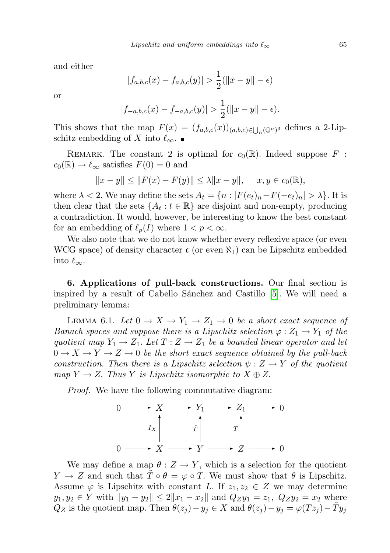and either

$$
|f_{a,b,c}(x) - f_{a,b,c}(y)| > \frac{1}{2}(\|x - y\| - \epsilon)
$$

or

$$
|f_{-a,b,c}(x) - f_{-a,b,c}(y)| > \frac{1}{2} (||x - y|| - \epsilon).
$$

This shows that the map  $F(x) = (f_{a,b,c}(x))_{(a,b,c)\in\bigcup_n(\mathbb{Q}^n)^3}$  defines a 2-Lipschitz embedding of X into  $\ell_{\infty}$ .

REMARK. The constant 2 is optimal for  $c_0(\mathbb{R})$ . Indeed suppose F :  $c_0(\mathbb{R}) \to \ell_{\infty}$  satisfies  $F(0) = 0$  and

$$
||x - y|| \le ||F(x) - F(y)|| \le \lambda ||x - y||, \quad x, y \in c_0(\mathbb{R}),
$$

where  $\lambda < 2$ . We may define the sets  $A_t = \{n : |F(e_t)_n - F(-e_t)_n| > \lambda\}$ . It is then clear that the sets  $\{A_t : t \in \mathbb{R}\}$  are disjoint and non-empty, producing a contradiction. It would, however, be interesting to know the best constant for an embedding of  $\ell_p(I)$  where  $1 < p < \infty$ .

We also note that we do not know whether every reflexive space (or even WCG space) of density character  $\mathfrak{c}$  (or even  $\aleph_1$ ) can be Lipschitz embedded into  $\ell_{\infty}$ .

6. Applications of pull-back constructions. Our final section is inspired by a result of Cabello Sánchez and Castillo [\[5\]](#page-15-13). We will need a preliminary lemma:

<span id="page-12-0"></span>LEMMA 6.1. Let  $0 \to X \to Y_1 \to Z_1 \to 0$  be a short exact sequence of Banach spaces and suppose there is a Lipschitz selection  $\varphi: Z_1 \to Y_1$  of the quotient map  $Y_1 \to Z_1$ . Let  $T: Z \to Z_1$  be a bounded linear operator and let  $0 \to X \to Y \to Z \to 0$  be the short exact sequence obtained by the pull-back construction. Then there is a Lipschitz selection  $\psi: Z \to Y$  of the quotient map  $Y \to Z$ . Thus Y is Lipschitz isomorphic to  $X \oplus Z$ .

Proof. We have the following commutative diagram:



We may define a map  $\theta : Z \to Y$ , which is a selection for the quotient  $Y \to Z$  and such that  $\tilde{T} \circ \theta = \varphi \circ T$ . We must show that  $\theta$  is Lipschitz. Assume  $\varphi$  is Lipschitz with constant L. If  $z_1, z_2 \in Z$  we may determine  $y_1, y_2 \in Y$  with  $||y_1 - y_2|| \leq 2||x_1 - x_2||$  and  $Q_Zy_1 = z_1$ ,  $Q_Zy_2 = x_2$  where  $Q_Z$  is the quotient map. Then  $\theta(z_j) - y_j \in X$  and  $\theta(z_j) - y_j = \varphi(Tz_j) - \tilde{T}y_j$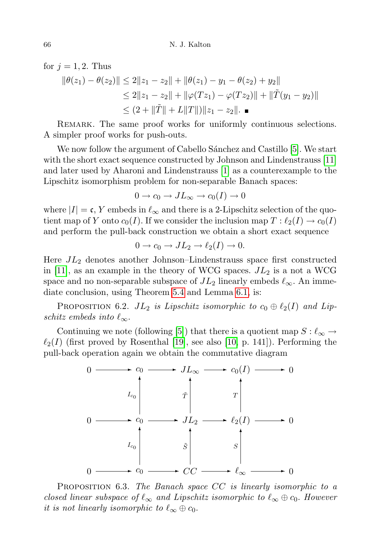for  $j = 1, 2$ . Thus  $\|\theta(z_1) - \theta(z_2)\| \leq 2\|z_1 - z_2\| + \|\theta(z_1) - y_1 - \theta(z_2) + y_2\|$  $\leq 2||z_1-z_2|| + ||\varphi(Tz_1) - \varphi(Tz_2)|| + ||\tilde{T}(y_1 - y_2)||$  $\leq (2 + \|\tilde{T}\| + L\|T\|) \|z_1 - z_2\|.$ 

REMARK. The same proof works for uniformly continuous selections. A simpler proof works for push-outs.

We now follow the argument of Cabello Sánchez and Castillo [\[5\]](#page-15-13). We start with the short exact sequence constructed by Johnson and Lindenstrauss [\[11\]](#page-15-14) and later used by Aharoni and Lindenstrauss [\[1\]](#page-15-0) as a counterexample to the Lipschitz isomorphism problem for non-separable Banach spaces:

$$
0 \to c_0 \to JL_{\infty} \to c_0(I) \to 0
$$

where  $|I| = \mathfrak{c}$ , Y embeds in  $\ell_{\infty}$  and there is a 2-Lipschitz selection of the quotient map of Y onto  $c_0(I)$ . If we consider the inclusion map  $T : \ell_2(I) \to c_0(I)$ and perform the pull-back construction we obtain a short exact sequence

$$
0 \to c_0 \to JL_2 \to \ell_2(I) \to 0.
$$

Here  $JL_2$  denotes another Johnson–Lindenstrauss space first constructed in [\[11\]](#page-15-14), as an example in the theory of WCG spaces.  $JL_2$  is a not a WCG space and no non-separable subspace of  $JL_2$  linearly embeds  $\ell_{\infty}$ . An immediate conclusion, using Theorem [5.4](#page-10-0) and Lemma [6.1,](#page-12-0) is:

<span id="page-13-0"></span>PROPOSITION 6.2.  $JL_2$  is Lipschitz isomorphic to  $c_0 \oplus \ell_2(I)$  and Lipschitz embeds into  $\ell_{\infty}$ .

Continuing we note (following [\[5\]](#page-15-13)) that there is a quotient map  $S : \ell_{\infty} \to$  $\ell_2(I)$  (first proved by Rosenthal [\[19\]](#page-16-4), see also [\[10,](#page-15-7) p. 141]). Performing the pull-back operation again we obtain the commutative diagram



**PROPOSITION** 6.3. The Banach space  $CC$  is linearly isomorphic to a closed linear subspace of  $\ell_{\infty}$  and Lipschitz isomorphic to  $\ell_{\infty} \oplus c_0$ . However it is not linearly isomorphic to  $\ell_{\infty} \oplus c_0$ .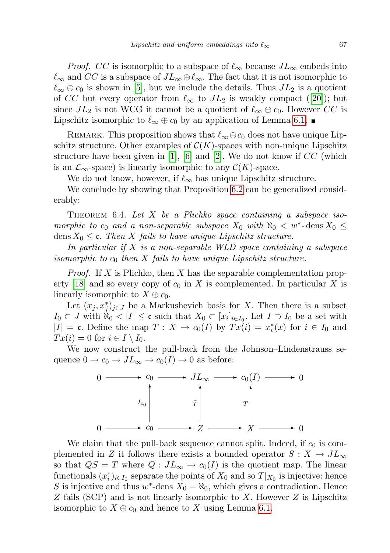*Proof.* CC is isomorphic to a subspace of  $\ell_{\infty}$  because  $JL_{\infty}$  embeds into  $\ell_{\infty}$  and CC is a subspace of  $JL_{\infty} \oplus \ell_{\infty}$ . The fact that it is not isomorphic to  $\ell_{\infty} \oplus c_0$  is shown in [\[5\]](#page-15-13), but we include the details. Thus  $JL_2$  is a quotient of CC but every operator from  $\ell_{\infty}$  to  $JL_2$  is weakly compact ([\[20\]](#page-16-5)); but since  $JL_2$  is not WCG it cannot be a quotient of  $\ell_{\infty} \oplus c_0$ . However CC is Lipschitz isomorphic to  $\ell_{\infty} \oplus c_0$  by an application of Lemma [6.1.](#page-12-0)

REMARK. This proposition shows that  $\ell_{\infty} \oplus c_0$  does not have unique Lipschitz structure. Other examples of  $\mathcal{C}(K)$ -spaces with non-unique Lipschitz structure have been given in [\[1\]](#page-15-0), [\[6\]](#page-15-15) and [\[2\]](#page-15-16). We do not know if  $CC$  (which is an  $\mathcal{L}_{\infty}$ -space) is linearly isomorphic to any  $\mathcal{C}(K)$ -space.

We do not know, however, if  $\ell_{\infty}$  has unique Lipschitz structure.

We conclude by showing that Proposition [6.2](#page-13-0) can be generalized considerably:

THEOREM 6.4. Let  $X$  be a Plichko space containing a subspace isomorphic to  $c_0$  and a non-separable subspace  $X_0$  with  $\aleph_0 < w^*$ -dens  $X_0 \leq$ dens  $X_0 \leq \mathfrak{c}$ . Then X fails to have unique Lipschitz structure.

In particular if  $X$  is a non-separable WLD space containing a subspace isomorphic to  $c_0$  then X fails to have unique Lipschitz structure.

*Proof.* If X is Plichko, then X has the separable complementation prop-erty [\[18\]](#page-15-17) and so every copy of  $c_0$  in X is complemented. In particular X is linearly isomorphic to  $X \oplus c_0$ .

Let  $(x_j, x_j^*)_{j \in J}$  be a Markushevich basis for X. Then there is a subset  $I_0 \subset J$  with  $\aleph_0 < |I| \leq \mathfrak{c}$  such that  $X_0 \subset [x_i]_{i \in I_0}$ . Let  $I \supset I_0$  be a set with  $|I| = \mathfrak{c}$ . Define the map  $T : X \to c_0(I)$  by  $Tx(i) = x_i^*(x)$  for  $i \in I_0$  and  $Tx(i) = 0$  for  $i \in I \setminus I_0$ .

We now construct the pull-back from the Johnson–Lindenstrauss sequence  $0 \to c_0 \to JL_\infty \to c_0(I) \to 0$  as before:



We claim that the pull-back sequence cannot split. Indeed, if  $c_0$  is complemented in Z it follows there exists a bounded operator  $S: X \to JL_{\infty}$ so that  $QS = T$  where  $Q: JL_{\infty} \to c_0(I)$  is the quotient map. The linear functionals  $(x_i^*)_{i \in I_0}$  separate the points of  $X_0$  and so  $T|_{X_0}$  is injective: hence S is injective and thus  $w^*$ -dens  $X_0 = \aleph_0$ , which gives a contradiction. Hence  $Z$  fails (SCP) and is not linearly isomorphic to  $X$ . However  $Z$  is Lipschitz isomorphic to  $X \oplus c_0$  and hence to X using Lemma [6.1.](#page-12-0)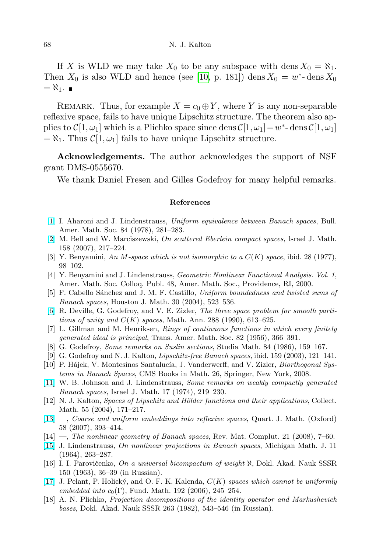If X is WLD we may take  $X_0$  to be any subspace with dens  $X_0 = \aleph_1$ . Then  $X_0$  is also WLD and hence (see [\[10,](#page-15-7) p. 181]) dens  $X_0 = w^*$ -dens  $X_0$  $=\aleph_1.$ 

REMARK. Thus, for example  $X = c_0 \oplus Y$ , where Y is any non-separable reflexive space, fails to have unique Lipschitz structure. The theorem also applies to  $\mathcal{C}[1,\omega_1]$  which is a Plichko space since dens  $\mathcal{C}[1,\omega_1] = w^*$ -dens  $\mathcal{C}[1,\omega_1]$  $=\aleph_1$ . Thus  $\mathcal{C}[1,\omega_1]$  fails to have unique Lipschitz structure.

Acknowledgements. The author acknowledges the support of NSF grant DMS-0555670.

We thank Daniel Fresen and Gilles Godefroy for many helpful remarks.

## References

- <span id="page-15-0"></span>[\[1\]](http://dx.doi.org/10.1090/S0002-9904-1978-14475-9) I. Aharoni and J. Lindenstrauss, Uniform equivalence between Banach spaces, Bull. Amer. Math. Soc. 84 (1978), 281–283.
- <span id="page-15-16"></span>[\[2\]](http://dx.doi.org/10.1007/s11856-007-0011-0) M. Bell and W. Marciszewski, On scattered Eberlein compact spaces, Israel J. Math. 158 (2007), 217–224.
- <span id="page-15-12"></span>[3] Y. Benyamini, An M-space which is not isomorphic to a  $C(K)$  space, ibid. 28 (1977), 98–102.
- <span id="page-15-2"></span>[4] Y. Benyamini and J. Lindenstrauss, Geometric Nonlinear Functional Analysis. Vol. 1, Amer. Math. Soc. Colloq. Publ. 48, Amer. Math. Soc., Providence, RI, 2000.
- <span id="page-15-13"></span>[5] F. Cabello Sánchez and J. M. F. Castillo, Uniform boundedness and twisted sums of Banach spaces, Houston J. Math. 30 (2004), 523–536.
- <span id="page-15-15"></span>[\[6\]](http://dx.doi.org/10.1007/BF01444554) R. Deville, G. Godefroy, and V. E. Zizler, The three space problem for smooth partitions of unity and  $C(K)$  spaces, Math. Ann. 288 (1990), 613-625.
- <span id="page-15-10"></span>[7] L. Gillman and M. Henriksen, Rings of continuous functions in which every finitely generated ideal is principal, Trans. Amer. Math. Soc. 82 (1956), 366–391.
- <span id="page-15-3"></span>[8] G. Godefroy, Some remarks on Suslin sections, Studia Math. 84 (1986), 159–167.
- <span id="page-15-8"></span>[9] G. Godefroy and N. J. Kalton, Lipschitz-free Banach spaces, ibid. 159 (2003), 121–141.
- <span id="page-15-7"></span>[10] P. Hájek, V. Montesinos Santalucía, J. Vanderwerff, and V. Zizler, *Biorthogonal Sys*tems in Banach Spaces, CMS Books in Math. 26, Springer, New York, 2008.
- <span id="page-15-14"></span>[\[11\]](http://dx.doi.org/10.1007/BF02882239) W. B. Johnson and J. Lindenstrauss, Some remarks on weakly compactly generated Banach spaces, Israel J. Math. 17 (1974), 219–230.
- <span id="page-15-11"></span>[12] N. J. Kalton, *Spaces of Lipschitz and Hölder functions and their applications*, Collect. Math. 55 (2004), 171–217.
- <span id="page-15-5"></span>[\[13\]](http://dx.doi.org/10.1093/qmath/ham018) —, Coarse and uniform embeddings into reflexive spaces, Quart. J. Math. (Oxford) 58 (2007), 393–414.
- [14] —, The nonlinear geometry of Banach spaces, Rev. Mat. Complut. 21 (2008), 7–60.
- <span id="page-15-6"></span><span id="page-15-1"></span>[\[15\]](http://dx.doi.org/10.1307/mmj/1028999141) J. Lindenstrauss, On nonlinear projections in Banach spaces, Michigan Math. J. 11 (1964), 263–287.
- <span id="page-15-4"></span>[16] I. I. Parovičenko, On a universal bicompactum of weight  $\aleph$ , Dokl. Akad. Nauk SSSR 150 (1963), 36–39 (in Russian).
- <span id="page-15-9"></span>[\[17\]](http://dx.doi.org/10.4064/fm192-3-4) J. Pelant, P. Holický, and O. F. K. Kalenda,  $C(K)$  spaces which cannot be uniformly embedded into  $c_0(\Gamma)$ , Fund. Math. 192 (2006), 245–254.
- <span id="page-15-17"></span>[18] A. N. Plichko, Projection decompositions of the identity operator and Markushevich bases, Dokl. Akad. Nauk SSSR 263 (1982), 543–546 (in Russian).